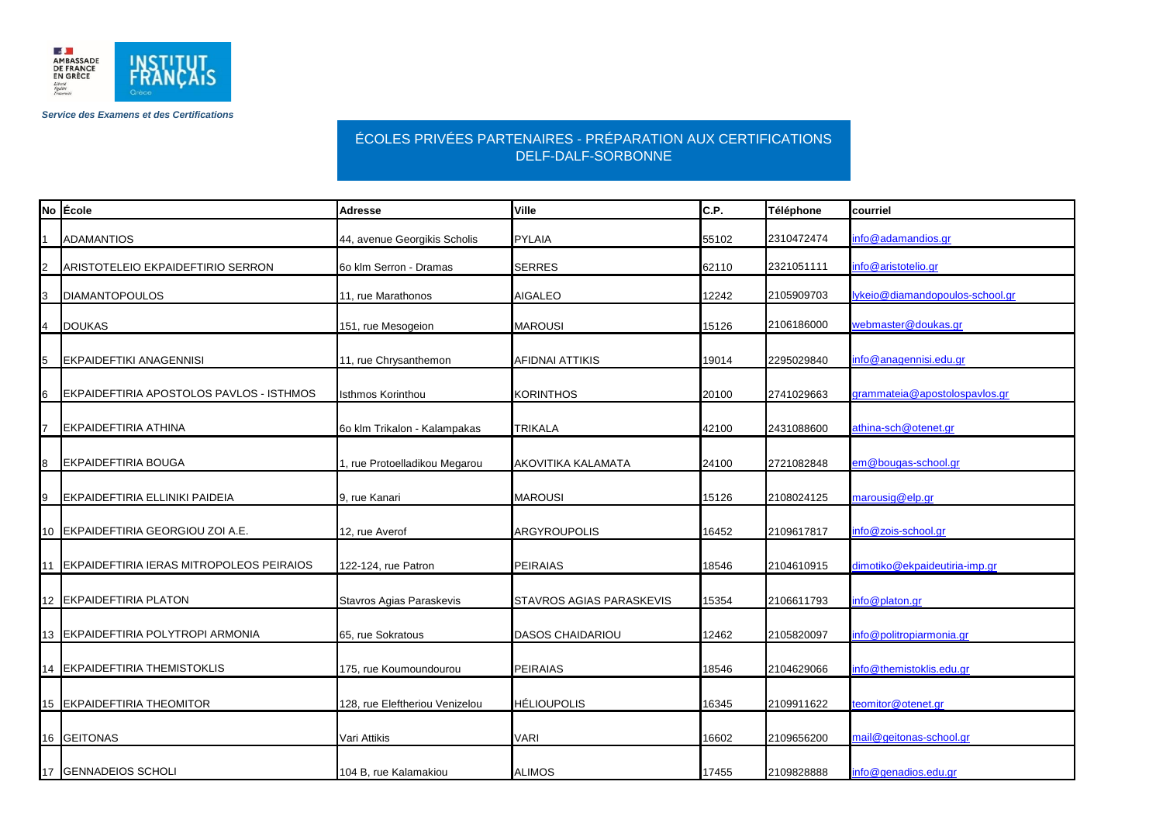

*Service des Examens et des Certifications*

## ÉCOLES PRIVÉES PARTENAIRES - PRÉPARATION AUX CERTIFICATIONS DELF-DALF-SORBONNE

|    | No Ecole                                    | <b>Adresse</b>                 | Ville                     | C.P.  | Téléphone  | courriel                        |
|----|---------------------------------------------|--------------------------------|---------------------------|-------|------------|---------------------------------|
|    | <b>ADAMANTIOS</b>                           | 44, avenue Georgikis Scholis   | <b>PYLAIA</b>             | 55102 | 2310472474 | info@adamandios.gr              |
|    | ARISTOTELEIO EKPAIDEFTIRIO SERRON           | 6o klm Serron - Dramas         | <b>SERRES</b>             | 62110 | 2321051111 | info@aristotelio.gr             |
| ıз | <b>DIAMANTOPOULOS</b>                       | 11, rue Marathonos             | <b>AIGALEO</b>            | 12242 | 2105909703 | lykeio@diamandopoulos-school.gr |
| 4  | <b>DOUKAS</b>                               | 151, rue Mesogeion             | <b>MAROUSI</b>            | 15126 | 2106186000 | webmaster@doukas.gr             |
| 15 | <b>EKPAIDEFTIKI ANAGENNISI</b>              | 11, rue Chrysanthemon          | <b>AFIDNAI ATTIKIS</b>    | 19014 | 2295029840 | info@anagennisi.edu.gr          |
| 6  | EKPAIDEFTIRIA APOSTOLOS PAVLOS - ISTHMOS    | Isthmos Korinthou              | <b>KORINTHOS</b>          | 20100 | 2741029663 | grammateia@apostolospavlos.gr   |
|    | <b>EKPAIDEFTIRIA ATHINA</b>                 | 6o klm Trikalon - Kalampakas   | <b>TRIKALA</b>            | 42100 | 2431088600 | athina-sch@otenet.gr            |
| 8  | <b>EKPAIDEFTIRIA BOUGA</b>                  | 1, rue Protoelladikou Megarou  | <b>AKOVITIKA KALAMATA</b> | 24100 | 2721082848 | em@bougas-school.gr             |
|    | EKPAIDEFTIRIA ELLINIKI PAIDEIA              | 9, rue Kanari                  | <b>MAROUSI</b>            | 15126 | 2108024125 | marousig@elp.gr                 |
|    | 10 EKPAIDEFTIRIA GEORGIOU ZOI A.E.          | 12, rue Averof                 | ARGYROUPOLIS              | 16452 | 2109617817 | info@zois-school.gr             |
|    | 11 EKPAIDEFTIRIA IERAS MITROPOLEOS PEIRAIOS | 122-124, rue Patron            | <b>PEIRAIAS</b>           | 18546 | 2104610915 | dimotiko@ekpaideutiria-imp.gr   |
|    | 12 EKPAIDEFTIRIA PLATON                     | Stavros Agias Paraskevis       | STAVROS AGIAS PARASKEVIS  | 15354 | 2106611793 | info@platon.gr                  |
|    | 13 EKPAIDEFTIRIA POLYTROPI ARMONIA          | 65, rue Sokratous              | <b>DASOS CHAIDARIOU</b>   | 12462 | 2105820097 | info@politropiarmonia.gr        |
|    | 14 EKPAIDEFTIRIA THEMISTOKLIS               | 175, rue Koumoundourou         | <b>PEIRAIAS</b>           | 18546 | 2104629066 | info@themistoklis.edu.gr        |
|    | 15 EKPAIDEFTIRIA THEOMITOR                  | 128, rue Eleftheriou Venizelou | <b>HÉLIOUPOLIS</b>        | 16345 | 2109911622 | teomitor@otenet.gr              |
|    | 16 GEITONAS                                 | Vari Attikis                   | <b>VARI</b>               | 16602 | 2109656200 | mail@geitonas-school.gr         |
|    | 17 GENNADEIOS SCHOLI                        | 104 B, rue Kalamakiou          | <b>ALIMOS</b>             | 17455 | 2109828888 | info@genadios.edu.gr            |